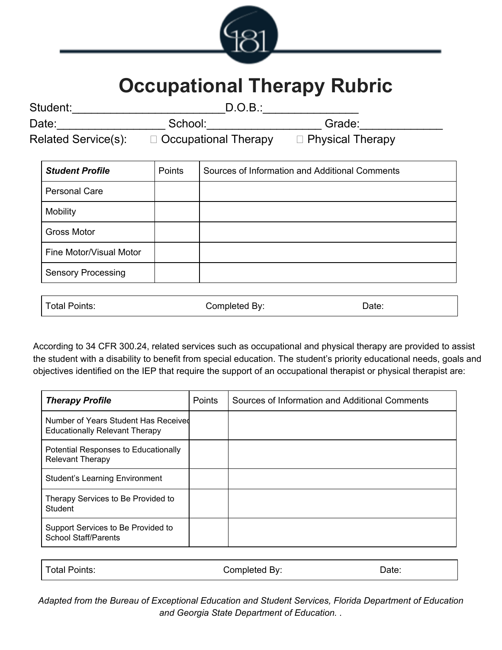

# **Occupational Therapy Rubric**

| Student:                   | D.O.B.:                     |                         |
|----------------------------|-----------------------------|-------------------------|
| Date:                      | School:                     | Grade:                  |
| <b>Related Service(s):</b> | $\Box$ Occupational Therapy | $\Box$ Physical Therapy |

| <b>Student Profile</b>    | Points | Sources of Information and Additional Comments |
|---------------------------|--------|------------------------------------------------|
| <b>Personal Care</b>      |        |                                                |
| Mobility                  |        |                                                |
| <b>Gross Motor</b>        |        |                                                |
| Fine Motor/Visual Motor   |        |                                                |
| <b>Sensory Processing</b> |        |                                                |

| Total Points: | Completed By: | Date: |
|---------------|---------------|-------|
|               |               |       |

According to 34 CFR 300.24, related services such as occupational and physical therapy are provided to assist the student with a disability to benefit from special education. The student's priority educational needs, goals and objectives identified on the IEP that require the support of an occupational therapist or physical therapist are:

| <b>Therapy Profile</b>                                                        | Points | Sources of Information and Additional Comments |
|-------------------------------------------------------------------------------|--------|------------------------------------------------|
| Number of Years Student Has Received<br><b>Educationally Relevant Therapy</b> |        |                                                |
| Potential Responses to Educationally<br><b>Relevant Therapy</b>               |        |                                                |
| <b>Student's Learning Environment</b>                                         |        |                                                |
| Therapy Services to Be Provided to<br>Student                                 |        |                                                |
| Support Services to Be Provided to<br><b>School Staff/Parents</b>             |        |                                                |

| Total Points: | Completed By: | Date: |
|---------------|---------------|-------|
|               |               |       |

*Adapted from the Bureau of Exceptional Education and Student Services, Florida Department of Education and Georgia State Department of Education. .*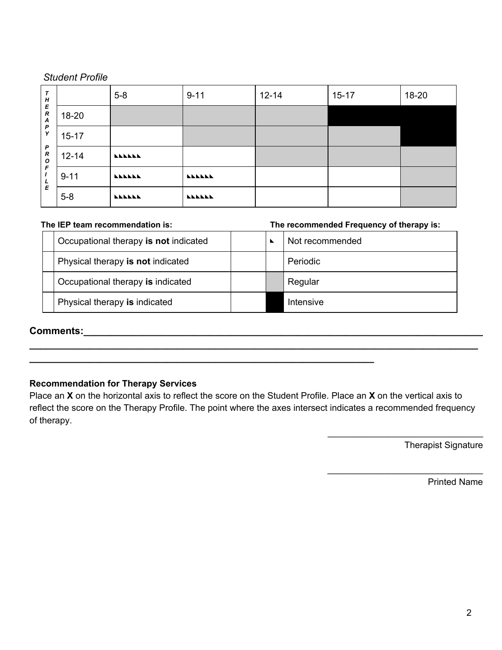#### *Student Profile*

| T<br>H                                    |           | $5-8$         | $9 - 11$      | $12 - 14$ | $15 - 17$ | 18-20 |
|-------------------------------------------|-----------|---------------|---------------|-----------|-----------|-------|
| E<br>$\boldsymbol{R}$<br>$\boldsymbol{A}$ | $18 - 20$ |               |               |           |           |       |
| P<br>Y                                    | $15 - 17$ |               |               |           |           |       |
| P<br>$\boldsymbol{R}$<br>$\mathbf{o}$     | $12 - 14$ | <b>LLLLLL</b> |               |           |           |       |
| F<br>L                                    | $9 - 11$  | <b>LLLLLL</b> | <b>LLLLLL</b> |           |           |       |
| E                                         | $5-8$     | <b>LLLLLL</b> | <b>LLLLLL</b> |           |           |       |

**The IEP team recommendation is: The recommended Frequency of therapy is:**

| Occupational therapy is not indicated |  | Not recommended |
|---------------------------------------|--|-----------------|
| Physical therapy is not indicated     |  | Periodic        |
| Occupational therapy is indicated     |  | Regular         |
| Physical therapy is indicated         |  | Intensive       |

# **Comments:\_\_\_\_\_\_\_\_\_\_\_\_\_\_\_\_\_\_\_\_\_\_\_\_\_\_\_\_\_\_\_\_\_\_\_\_\_\_\_\_\_\_\_\_\_\_\_\_\_\_\_\_\_\_\_\_\_\_\_\_\_\_\_\_\_\_\_\_\_\_\_\_\_**

#### **Recommendation for Therapy Services**

Place an **X** on the horizontal axis to reflect the score on the Student Profile. Place an **X** on the vertical axis to reflect the score on the Therapy Profile. The point where the axes intersect indicates a recommended frequency of therapy.

**\_\_\_\_\_\_\_\_\_\_\_\_\_\_\_\_\_\_\_\_\_\_\_\_\_\_\_\_\_\_\_\_\_\_\_\_\_\_\_\_\_\_\_\_\_\_\_\_\_\_\_\_\_\_\_\_\_\_\_\_\_\_\_\_\_\_\_\_\_\_\_\_\_\_\_\_\_\_\_\_\_\_**

**\_\_\_\_\_\_\_\_\_\_\_\_\_\_\_\_\_\_\_\_\_\_\_\_\_\_\_\_\_\_\_\_\_\_\_\_\_\_\_\_\_\_\_\_\_\_\_\_\_\_\_\_\_\_\_\_\_\_\_\_\_\_\_**

Therapist Signature

\_\_\_\_\_\_\_\_\_\_\_\_\_\_\_\_\_\_\_\_\_\_\_\_\_\_\_\_\_\_\_

\_\_\_\_\_\_\_\_\_\_\_\_\_\_\_\_\_\_\_\_\_\_\_\_\_\_\_\_\_\_\_

Printed Name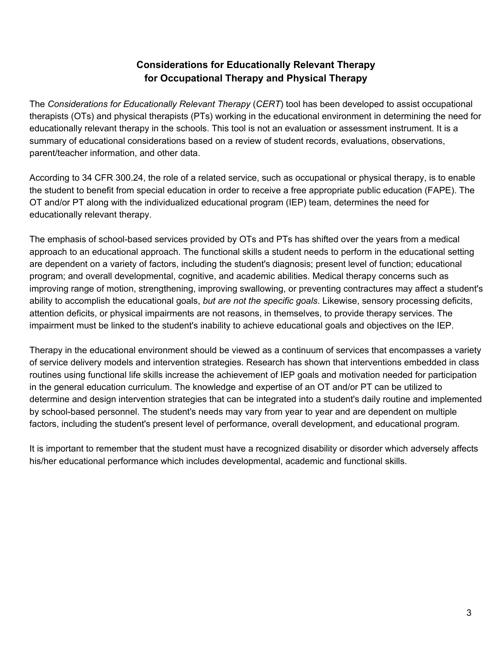### **Considerations for Educationally Relevant Therapy for Occupational Therapy and Physical Therapy**

The *Considerations for Educationally Relevant Therapy* (*CERT*) tool has been developed to assist occupational therapists (OTs) and physical therapists (PTs) working in the educational environment in determining the need for educationally relevant therapy in the schools. This tool is not an evaluation or assessment instrument. It is a summary of educational considerations based on a review of student records, evaluations, observations, parent/teacher information, and other data.

According to 34 CFR 300.24, the role of a related service, such as occupational or physical therapy, is to enable the student to benefit from special education in order to receive a free appropriate public education (FAPE). The OT and/or PT along with the individualized educational program (IEP) team, determines the need for educationally relevant therapy.

The emphasis of school-based services provided by OTs and PTs has shifted over the years from a medical approach to an educational approach. The functional skills a student needs to perform in the educational setting are dependent on a variety of factors, including the student's diagnosis; present level of function; educational program; and overall developmental, cognitive, and academic abilities. Medical therapy concerns such as improving range of motion, strengthening, improving swallowing, or preventing contractures may affect a student's ability to accomplish the educational goals, *but are not the specific goals*. Likewise, sensory processing deficits, attention deficits, or physical impairments are not reasons, in themselves, to provide therapy services. The impairment must be linked to the student's inability to achieve educational goals and objectives on the IEP.

Therapy in the educational environment should be viewed as a continuum of services that encompasses a variety of service delivery models and intervention strategies. Research has shown that interventions embedded in class routines using functional life skills increase the achievement of IEP goals and motivation needed for participation in the general education curriculum. The knowledge and expertise of an OT and/or PT can be utilized to determine and design intervention strategies that can be integrated into a student's daily routine and implemented by school-based personnel. The student's needs may vary from year to year and are dependent on multiple factors, including the student's present level of performance, overall development, and educational program.

It is important to remember that the student must have a recognized disability or disorder which adversely affects his/her educational performance which includes developmental, academic and functional skills.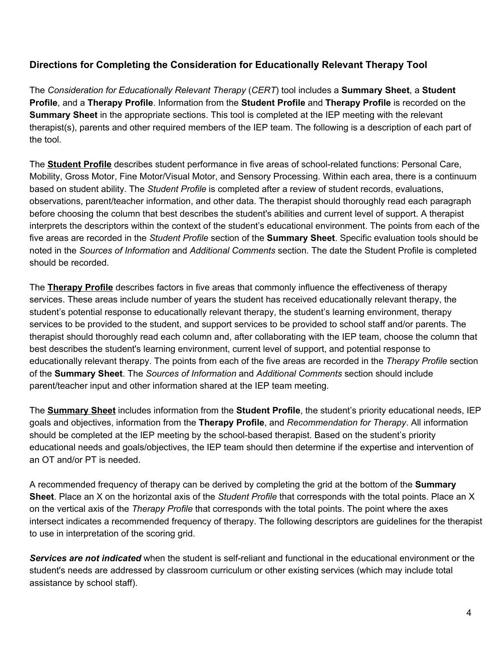#### **Directions for Completing the Consideration for Educationally Relevant Therapy Tool**

The *Consideration for Educationally Relevant Therapy* (*CERT*) tool includes a **Summary Sheet**, a **Student Profile**, and a **Therapy Profile**. Information from the **Student Profile** and **Therapy Profile** is recorded on the **Summary Sheet** in the appropriate sections. This tool is completed at the IEP meeting with the relevant therapist(s), parents and other required members of the IEP team. The following is a description of each part of the tool.

The **Student Profile** describes student performance in five areas of school-related functions: Personal Care, Mobility, Gross Motor, Fine Motor/Visual Motor, and Sensory Processing. Within each area, there is a continuum based on student ability. The *Student Profile* is completed after a review of student records, evaluations, observations, parent/teacher information, and other data. The therapist should thoroughly read each paragraph before choosing the column that best describes the student's abilities and current level of support. A therapist interprets the descriptors within the context of the student's educational environment. The points from each of the five areas are recorded in the *Student Profile* section of the **Summary Sheet**. Specific evaluation tools should be noted in the *Sources of Information* and *Additional Comments* section. The date the Student Profile is completed should be recorded.

The **Therapy Profile** describes factors in five areas that commonly influence the effectiveness of therapy services. These areas include number of years the student has received educationally relevant therapy, the student's potential response to educationally relevant therapy, the student's learning environment, therapy services to be provided to the student, and support services to be provided to school staff and/or parents. The therapist should thoroughly read each column and, after collaborating with the IEP team, choose the column that best describes the student's learning environment, current level of support, and potential response to educationally relevant therapy. The points from each of the five areas are recorded in the *Therapy Profile* section of the **Summary Sheet**. The *Sources of Information* and *Additional Comments* section should include parent/teacher input and other information shared at the IEP team meeting.

The **Summary Sheet** includes information from the **Student Profile**, the student's priority educational needs, IEP goals and objectives, information from the **Therapy Profile**, and *Recommendation for Therapy*. All information should be completed at the IEP meeting by the school-based therapist. Based on the student's priority educational needs and goals/objectives, the IEP team should then determine if the expertise and intervention of an OT and/or PT is needed.

A recommended frequency of therapy can be derived by completing the grid at the bottom of the **Summary Sheet**. Place an X on the horizontal axis of the *Student Profile* that corresponds with the total points. Place an X on the vertical axis of the *Therapy Profile* that corresponds with the total points. The point where the axes intersect indicates a recommended frequency of therapy. The following descriptors are guidelines for the therapist to use in interpretation of the scoring grid.

*Services are not indicated* when the student is self-reliant and functional in the educational environment or the student's needs are addressed by classroom curriculum or other existing services (which may include total assistance by school staff).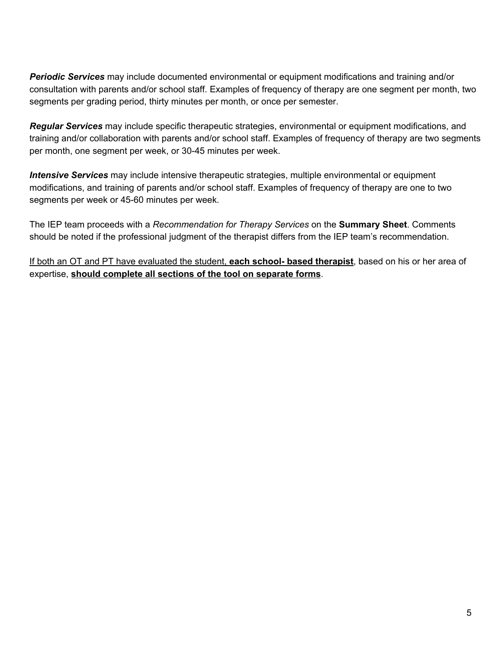*Periodic Services* may include documented environmental or equipment modifications and training and/or consultation with parents and/or school staff. Examples of frequency of therapy are one segment per month, two segments per grading period, thirty minutes per month, or once per semester.

*Regular Services* may include specific therapeutic strategies, environmental or equipment modifications, and training and/or collaboration with parents and/or school staff. Examples of frequency of therapy are two segments per month, one segment per week, or 30-45 minutes per week.

*Intensive Services* may include intensive therapeutic strategies, multiple environmental or equipment modifications, and training of parents and/or school staff. Examples of frequency of therapy are one to two segments per week or 45-60 minutes per week.

The IEP team proceeds with a *Recommendation for Therapy Services* on the **Summary Sheet**. Comments should be noted if the professional judgment of the therapist differs from the IEP team's recommendation.

If both an OT and PT have evaluated the student, **each school- based therapist**, based on his or her area of expertise, **should complete all sections of the tool on separate forms**.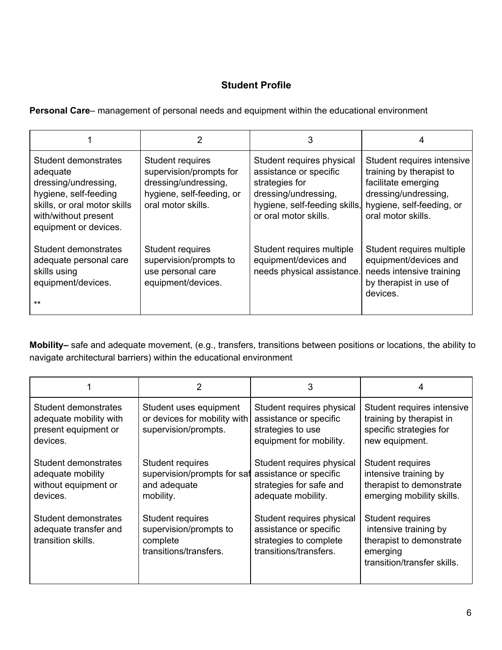## **Student Profile**

**Personal Care**– management of personal needs and equipment within the educational environment

|                                                                                                                                                                    |                                                                                                                        | 3                                                                                                                                                       | 4                                                                                                                                                        |
|--------------------------------------------------------------------------------------------------------------------------------------------------------------------|------------------------------------------------------------------------------------------------------------------------|---------------------------------------------------------------------------------------------------------------------------------------------------------|----------------------------------------------------------------------------------------------------------------------------------------------------------|
| Student demonstrates<br>adequate<br>dressing/undressing,<br>hygiene, self-feeding<br>skills, or oral motor skills<br>with/without present<br>equipment or devices. | Student requires<br>supervision/prompts for<br>dressing/undressing,<br>hygiene, self-feeding, or<br>oral motor skills. | Student requires physical<br>assistance or specific<br>strategies for<br>dressing/undressing,<br>hygiene, self-feeding skills,<br>or oral motor skills. | Student requires intensive<br>training by therapist to<br>facilitate emerging<br>dressing/undressing,<br>hygiene, self-feeding, or<br>oral motor skills. |
| Student demonstrates<br>adequate personal care<br>skills using<br>equipment/devices.<br>$***$                                                                      | Student requires<br>supervision/prompts to<br>use personal care<br>equipment/devices.                                  | Student requires multiple<br>equipment/devices and<br>needs physical assistance.                                                                        | Student requires multiple<br>equipment/devices and<br>needs intensive training<br>by therapist in use of<br>devices.                                     |

**Mobility–** safe and adequate movement, (e.g., transfers, transitions between positions or locations, the ability to navigate architectural barriers) within the educational environment

|                                                                                    | $\overline{2}$                                                                   | 3                                                                                                       | 4                                                                                                                |
|------------------------------------------------------------------------------------|----------------------------------------------------------------------------------|---------------------------------------------------------------------------------------------------------|------------------------------------------------------------------------------------------------------------------|
| Student demonstrates<br>adequate mobility with<br>present equipment or<br>devices. | Student uses equipment<br>or devices for mobility with<br>supervision/prompts.   | Student requires physical<br>assistance or specific<br>strategies to use<br>equipment for mobility.     | Student requires intensive<br>training by therapist in<br>specific strategies for<br>new equipment.              |
| Student demonstrates<br>adequate mobility<br>without equipment or<br>devices.      | Student requires<br>supervision/prompts for saf<br>and adequate<br>mobility.     | Student requires physical<br>assistance or specific<br>strategies for safe and<br>adequate mobility.    | Student requires<br>intensive training by<br>therapist to demonstrate<br>emerging mobility skills.               |
| Student demonstrates<br>adequate transfer and<br>transition skills.                | Student requires<br>supervision/prompts to<br>complete<br>transitions/transfers. | Student requires physical<br>assistance or specific<br>strategies to complete<br>transitions/transfers. | Student requires<br>intensive training by<br>therapist to demonstrate<br>emerging<br>transition/transfer skills. |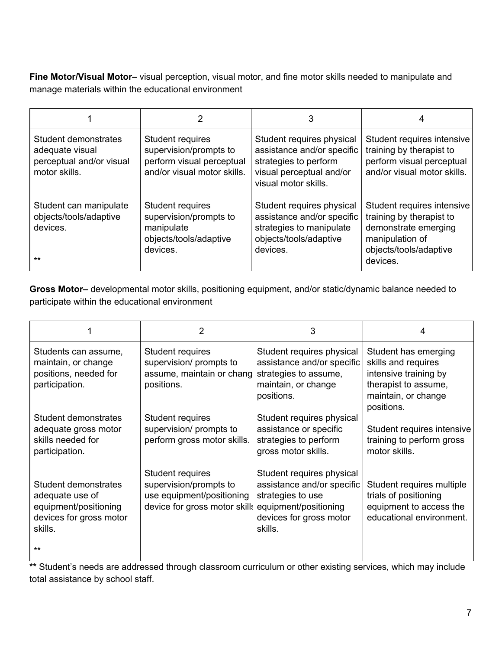**Fine Motor/Visual Motor–** visual perception, visual motor, and fine motor skills needed to manipulate and manage materials within the educational environment

|                                                                                      |                                                                                                        | 3                                                                                                                                    | 4                                                                                                                                       |
|--------------------------------------------------------------------------------------|--------------------------------------------------------------------------------------------------------|--------------------------------------------------------------------------------------------------------------------------------------|-----------------------------------------------------------------------------------------------------------------------------------------|
| Student demonstrates<br>adequate visual<br>perceptual and/or visual<br>motor skills. | Student requires<br>supervision/prompts to<br>perform visual perceptual<br>and/or visual motor skills. | Student requires physical<br>assistance and/or specific<br>strategies to perform<br>visual perceptual and/or<br>visual motor skills. | Student requires intensive<br>training by therapist to<br>perform visual perceptual<br>and/or visual motor skills.                      |
| Student can manipulate<br>objects/tools/adaptive<br>devices.<br>$***$                | Student requires<br>supervision/prompts to<br>manipulate<br>objects/tools/adaptive<br>devices.         | Student requires physical<br>assistance and/or specific<br>strategies to manipulate<br>objects/tools/adaptive<br>devices.            | Student requires intensive<br>training by therapist to<br>demonstrate emerging<br>manipulation of<br>objects/tools/adaptive<br>devices. |

**Gross Motor–** developmental motor skills, positioning equipment, and/or static/dynamic balance needed to participate within the educational environment

|                                                                                                        |                                                                                                          | 3                                                                                                                                           |                                                                                                                                   |
|--------------------------------------------------------------------------------------------------------|----------------------------------------------------------------------------------------------------------|---------------------------------------------------------------------------------------------------------------------------------------------|-----------------------------------------------------------------------------------------------------------------------------------|
| Students can assume,<br>maintain, or change<br>positions, needed for<br>participation.                 | Student requires<br>supervision/ prompts to<br>assume, maintain or chang<br>positions.                   | Student requires physical<br>assistance and/or specific<br>strategies to assume,<br>maintain, or change<br>positions.                       | Student has emerging<br>skills and requires<br>intensive training by<br>therapist to assume,<br>maintain, or change<br>positions. |
| Student demonstrates<br>adequate gross motor<br>skills needed for<br>participation.                    | Student requires<br>supervision/ prompts to<br>perform gross motor skills.                               | Student requires physical<br>assistance or specific<br>strategies to perform<br>gross motor skills.                                         | Student requires intensive<br>training to perform gross<br>motor skills.                                                          |
| Student demonstrates<br>adequate use of<br>equipment/positioning<br>devices for gross motor<br>skills. | Student requires<br>supervision/prompts to<br>use equipment/positioning<br>device for gross motor skills | Student requires physical<br>assistance and/or specific<br>strategies to use<br>equipment/positioning<br>devices for gross motor<br>skills. | Student requires multiple<br>trials of positioning<br>equipment to access the<br>educational environment.                         |
| $***$                                                                                                  |                                                                                                          |                                                                                                                                             |                                                                                                                                   |

**\*\*** Student's needs are addressed through classroom curriculum or other existing services, which may include total assistance by school staff.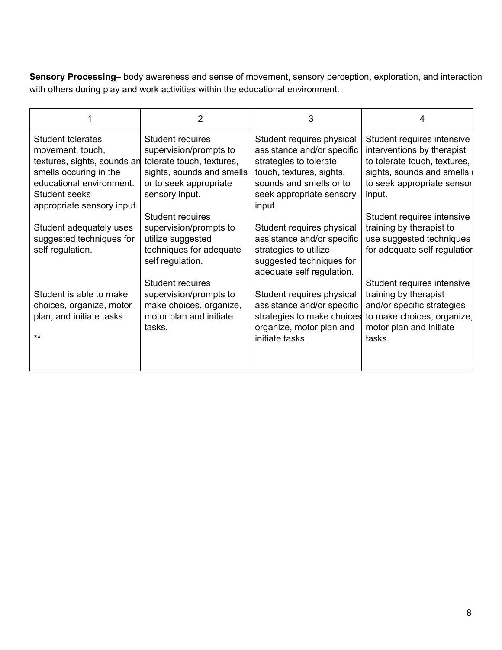**Sensory Processing–** body awareness and sense of movement, sensory perception, exploration, and interaction with others during play and work activities within the educational environment.

|                                                                                                                                                                                     | 2                                                                                                                          | 3                                                                                                                                                                    | 4                                                                                                                                                             |
|-------------------------------------------------------------------------------------------------------------------------------------------------------------------------------------|----------------------------------------------------------------------------------------------------------------------------|----------------------------------------------------------------------------------------------------------------------------------------------------------------------|---------------------------------------------------------------------------------------------------------------------------------------------------------------|
| <b>Student tolerates</b><br>movement, touch,<br>textures, sights, sounds an tolerate touch, textures,<br>smells occuring in the<br>educational environment.<br><b>Student seeks</b> | <b>Student requires</b><br>supervision/prompts to<br>sights, sounds and smells<br>or to seek appropriate<br>sensory input. | Student requires physical<br>assistance and/or specific<br>strategies to tolerate<br>touch, textures, sights,<br>sounds and smells or to<br>seek appropriate sensory | Student requires intensive<br>interventions by therapist<br>to tolerate touch, textures,<br>sights, sounds and smells<br>to seek appropriate sensor<br>input. |
| appropriate sensory input.<br>Student adequately uses                                                                                                                               | Student requires<br>supervision/prompts to                                                                                 | input.<br>Student requires physical                                                                                                                                  | Student requires intensive<br>training by therapist to                                                                                                        |
| suggested techniques for<br>self regulation.                                                                                                                                        | utilize suggested<br>techniques for adequate<br>self regulation.                                                           | assistance and/or specific<br>strategies to utilize<br>suggested techniques for<br>adequate self regulation.                                                         | use suggested techniques<br>for adequate self regulation                                                                                                      |
| Student is able to make<br>choices, organize, motor<br>plan, and initiate tasks.<br>$**$                                                                                            | Student requires<br>supervision/prompts to<br>make choices, organize,<br>motor plan and initiate<br>tasks.                 | Student requires physical<br>assistance and/or specific<br>strategies to make choices<br>organize, motor plan and<br>initiate tasks.                                 | Student requires intensive<br>training by therapist<br>and/or specific strategies<br>to make choices, organize,<br>motor plan and initiate<br>tasks.          |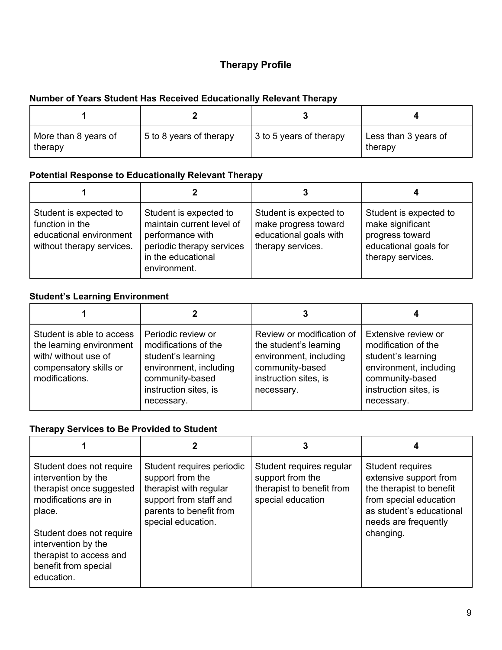## **Therapy Profile**

# **Number of Years Student Has Received Educationally Relevant Therapy**

| More than 8 years of<br>therapy | 5 to 8 years of therapy | 3 to 5 years of therapy | Less than 3 years of<br>therapy |
|---------------------------------|-------------------------|-------------------------|---------------------------------|

#### **Potential Response to Educationally Relevant Therapy**

| Student is expected to<br>function in the<br>educational environment<br>without therapy services. | Student is expected to<br>maintain current level of<br>performance with<br>periodic therapy services<br>in the educational<br>environment. | Student is expected to<br>make progress toward<br>educational goals with<br>therapy services. | Student is expected to<br>make significant<br>progress toward<br>educational goals for<br>therapy services. |
|---------------------------------------------------------------------------------------------------|--------------------------------------------------------------------------------------------------------------------------------------------|-----------------------------------------------------------------------------------------------|-------------------------------------------------------------------------------------------------------------|

#### **Student's Learning Environment**

|                                                                                                                           |                                                                                                                                                      | 3                                                                                                                                       |                                                                                                                                                      |
|---------------------------------------------------------------------------------------------------------------------------|------------------------------------------------------------------------------------------------------------------------------------------------------|-----------------------------------------------------------------------------------------------------------------------------------------|------------------------------------------------------------------------------------------------------------------------------------------------------|
| Student is able to access<br>the learning environment<br>with/ without use of<br>compensatory skills or<br>modifications. | Periodic review or<br>modifications of the<br>student's learning<br>environment, including<br>community-based<br>instruction sites, is<br>necessary. | Review or modification of<br>the student's learning<br>environment, including<br>community-based<br>instruction sites, is<br>necessary. | Extensive review or<br>modification of the<br>student's learning<br>environment, including<br>community-based<br>instruction sites, is<br>necessary. |

## **Therapy Services to Be Provided to Student**

|                                                                                                                                                                                                                                   |                                                                                                                                                    | 3                                                                                              |                                                                                                                                                                   |
|-----------------------------------------------------------------------------------------------------------------------------------------------------------------------------------------------------------------------------------|----------------------------------------------------------------------------------------------------------------------------------------------------|------------------------------------------------------------------------------------------------|-------------------------------------------------------------------------------------------------------------------------------------------------------------------|
| Student does not require<br>intervention by the<br>therapist once suggested<br>modifications are in<br>place.<br>Student does not require<br>intervention by the<br>therapist to access and<br>benefit from special<br>education. | Student requires periodic<br>support from the<br>therapist with regular<br>support from staff and<br>parents to benefit from<br>special education. | Student requires regular<br>support from the<br>therapist to benefit from<br>special education | Student requires<br>extensive support from<br>the therapist to benefit<br>from special education<br>as student's educational<br>needs are frequently<br>changing. |